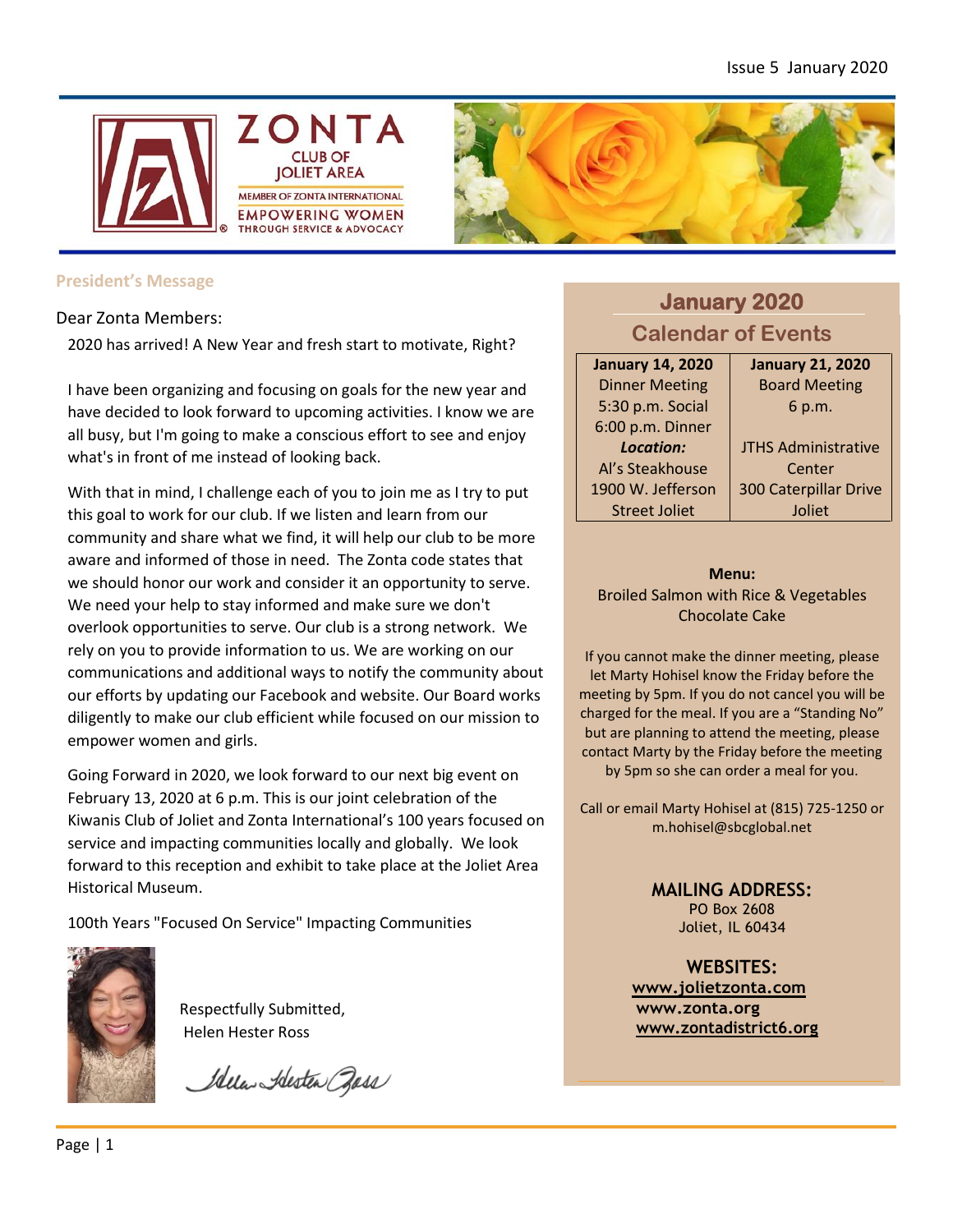



### **President's Message**

Dear Zonta Members:

2020 has arrived! A New Year and fresh start to motivate, Right?

I have been organizing and focusing on goals for the new year and have decided to look forward to upcoming activities. I know we are all busy, but I'm going to make a conscious effort to see and enjoy what's in front of me instead of looking back.

With that in mind, I challenge each of you to join me as I try to put this goal to work for our club. If we listen and learn from our community and share what we find, it will help our club to be more aware and informed of those in need. The Zonta code states that we should honor our work and consider it an opportunity to serve. We need your help to stay informed and make sure we don't overlook opportunities to serve. Our club is a strong network. We rely on you to provide information to us. We are working on our communications and additional ways to notify the community about our efforts by updating our Facebook and website. Our Board works diligently to make our club efficient while focused on our mission to empower women and girls.

Going Forward in 2020, we look forward to our next big event on February 13, 2020 at 6 p.m. This is our joint celebration of the Kiwanis Club of Joliet and Zonta International's 100 years focused on service and impacting communities locally and globally. We look forward to this reception and exhibit to take place at the Joliet Area Historical Museum.

100th Years "Focused On Service" Impacting Communities



Respectfully Submitted, Helen Hester Ross

President

Idela Alesten Bass

# **January 2020 Calendar of Events**

**January 14, 2020** Dinner Meeting 5:30 p.m. Social 6:00 p.m. Dinner *Location:* Al's Steakhouse 1900 W. Jefferson Street Joliet

**January 21, 2020** Board Meeting 6 p.m.

JTHS Administrative Center 300 Caterpillar Drive Joliet

**Menu:**

Broiled Salmon with Rice & Vegetables Chocolate Cake

If you cannot make the dinner meeting, please let Marty Hohisel know the Friday before the meeting by 5pm. If you do not cancel you will be charged for the meal. If you are a "Standing No" but are planning to attend the meeting, please contact Marty by the Friday before the meeting by 5pm so she can order a meal for you.

Call or email Marty Hohisel at (815) 725-1250 or m.hohisel@sbcglobal.net

> **MAILING ADDRESS:** PO Box 2608 Joliet, IL 60434

**WEBSITES: [www.jolietzonta.com](http://www.jolietzonta.com/) [www.zonta.org](http://www.zonta.org/) [www.zontadistrict6.org](http://www.zontadistrict6.org/)**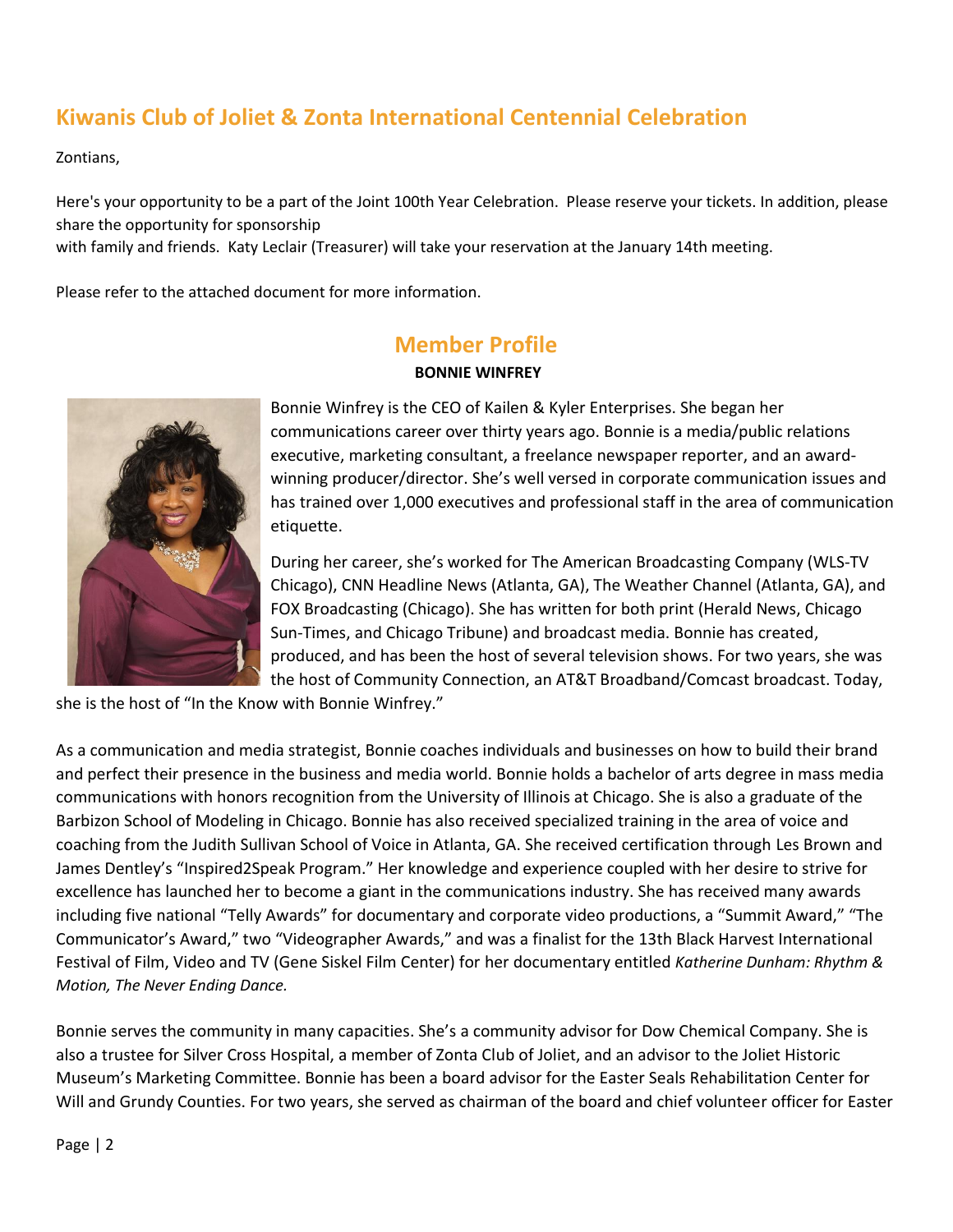# **Kiwanis Club of Joliet & Zonta International Centennial Celebration**

Zontians,

Here's your opportunity to be a part of the Joint 100th Year Celebration. Please reserve your tickets. In addition, please share the opportunity for sponsorship

with family and friends. Katy Leclair (Treasurer) will take your reservation at the January 14th meeting.

Please refer to the attached document for more information.

# **Member Profile**

### **BONNIE WINFREY**



Bonnie Winfrey is the CEO of Kailen & Kyler Enterprises. She began her communications career over thirty years ago. Bonnie is a media/public relations executive, marketing consultant, a freelance newspaper reporter, and an awardwinning producer/director. She's well versed in corporate communication issues and has trained over 1,000 executives and professional staff in the area of communication etiquette.

During her career, she's worked for The American Broadcasting Company (WLS-TV Chicago), CNN Headline News (Atlanta, GA), The Weather Channel (Atlanta, GA), and FOX Broadcasting (Chicago). She has written for both print (Herald News, Chicago Sun-Times, and Chicago Tribune) and broadcast media. Bonnie has created, produced, and has been the host of several television shows. For two years, she was the host of Community Connection, an AT&T Broadband/Comcast broadcast. Today,

she is the host of "In the Know with Bonnie Winfrey."

As a communication and media strategist, Bonnie coaches individuals and businesses on how to build their brand and perfect their presence in the business and media world. Bonnie holds a bachelor of arts degree in mass media communications with honors recognition from the University of Illinois at Chicago. She is also a graduate of the Barbizon School of Modeling in Chicago. Bonnie has also received specialized training in the area of voice and coaching from the Judith Sullivan School of Voice in Atlanta, GA. She received certification through Les Brown and James Dentley's "Inspired2Speak Program." Her knowledge and experience coupled with her desire to strive for excellence has launched her to become a giant in the communications industry. She has received many awards including five national "Telly Awards" for documentary and corporate video productions, a "Summit Award," "The Communicator's Award," two "Videographer Awards," and was a finalist for the 13th Black Harvest International Festival of Film, Video and TV (Gene Siskel Film Center) for her documentary entitled *Katherine Dunham: Rhythm & Motion, The Never Ending Dance.* 

Bonnie serves the community in many capacities. She's a community advisor for Dow Chemical Company. She is also a trustee for Silver Cross Hospital, a member of Zonta Club of Joliet, and an advisor to the Joliet Historic Museum's Marketing Committee. Bonnie has been a board advisor for the Easter Seals Rehabilitation Center for Will and Grundy Counties. For two years, she served as chairman of the board and chief volunteer officer for Easter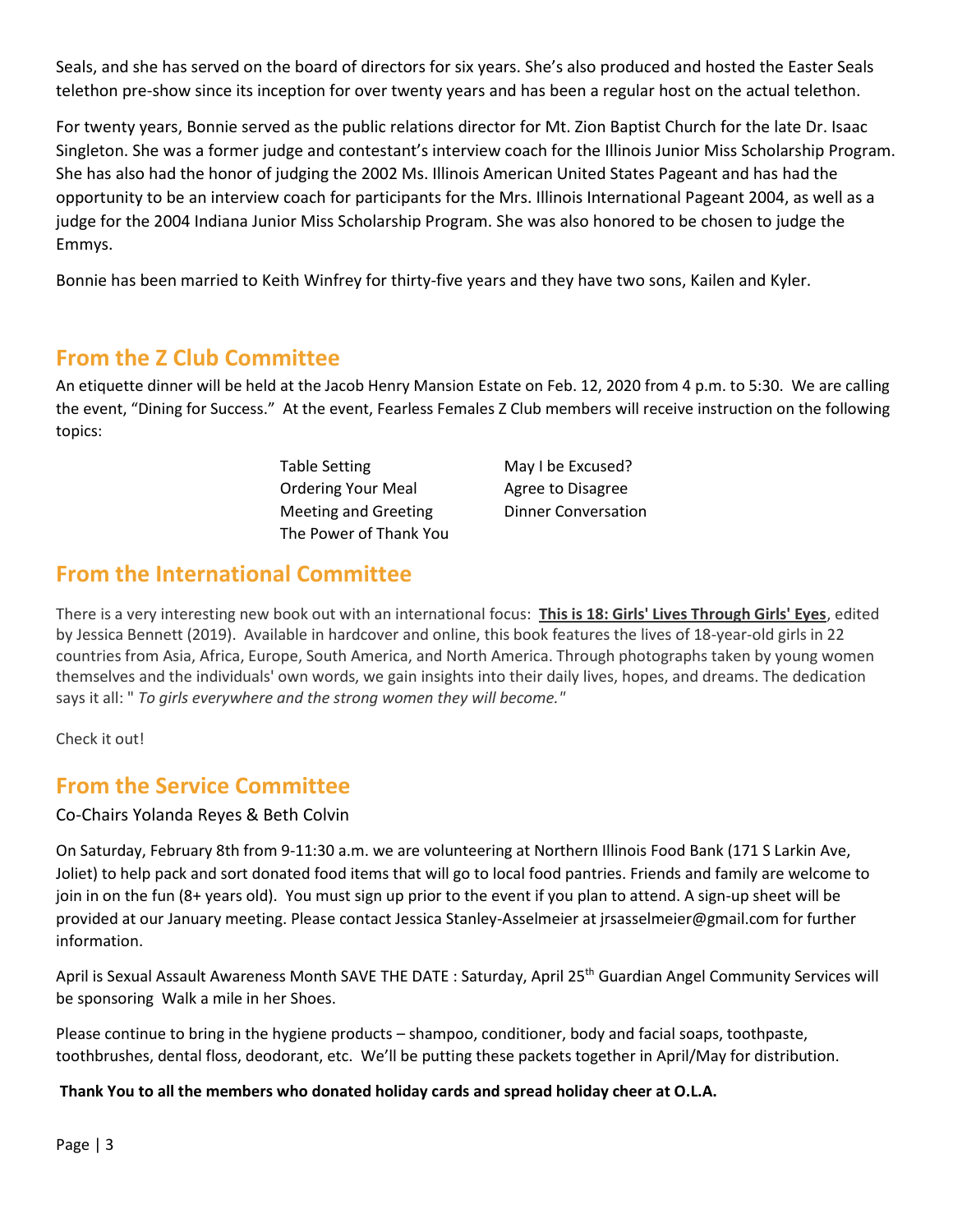Seals, and she has served on the board of directors for six years. She's also produced and hosted the Easter Seals telethon pre-show since its inception for over twenty years and has been a regular host on the actual telethon.

For twenty years, Bonnie served as the public relations director for Mt. Zion Baptist Church for the late Dr. Isaac Singleton. She was a former judge and contestant's interview coach for the Illinois Junior Miss Scholarship Program. She has also had the honor of judging the 2002 Ms. Illinois American United States Pageant and has had the opportunity to be an interview coach for participants for the Mrs. Illinois International Pageant 2004, as well as a judge for the 2004 Indiana Junior Miss Scholarship Program. She was also honored to be chosen to judge the Emmys.

Bonnie has been married to Keith Winfrey for thirty-five years and they have two sons, Kailen and Kyler.

## **From the Z Club Committee**

An etiquette dinner will be held at the Jacob Henry Mansion Estate on Feb. 12, 2020 from 4 p.m. to 5:30. We are calling the event, "Dining for Success." At the event, Fearless Females Z Club members will receive instruction on the following topics:

> Table Setting May I be Excused? Ordering Your Meal Agree to Disagree Meeting and Greeting Dinner Conversation The Power of Thank You

## **From the International Committee**

There is a very interesting new book out with an international focus: **This is 18: Girls' Lives Through Girls' Eyes**, edited by Jessica Bennett (2019). Available in hardcover and online, this book features the lives of 18-year-old girls in 22 countries from Asia, Africa, Europe, South America, and North America. Through photographs taken by young women themselves and the individuals' own words, we gain insights into their daily lives, hopes, and dreams. The dedication says it all: " *To girls everywhere and the strong women they will become."*

Check it out!

## **From the Service Committee**

### Co-Chairs Yolanda Reyes & Beth Colvin

On Saturday, February 8th from 9-11:30 a.m. we are volunteering at Northern Illinois Food Bank (171 S Larkin Ave, Joliet) to help pack and sort donated food items that will go to local food pantries. Friends and family are welcome to join in on the fun (8+ years old). You must sign up prior to the event if you plan to attend. A sign-up sheet will be provided at our January meeting. Please contact Jessica Stanley-Asselmeier at jrsasselmeier@gmail.com for further information.

April is Sexual Assault Awareness Month SAVE THE DATE : Saturday, April 25<sup>th</sup> Guardian Angel Community Services will be sponsoring Walk a mile in her Shoes.

Please continue to bring in the hygiene products – shampoo, conditioner, body and facial soaps, toothpaste, toothbrushes, dental floss, deodorant, etc. We'll be putting these packets together in April/May for distribution.

### **Thank You to all the members who donated holiday cards and spread holiday cheer at O.L.A.**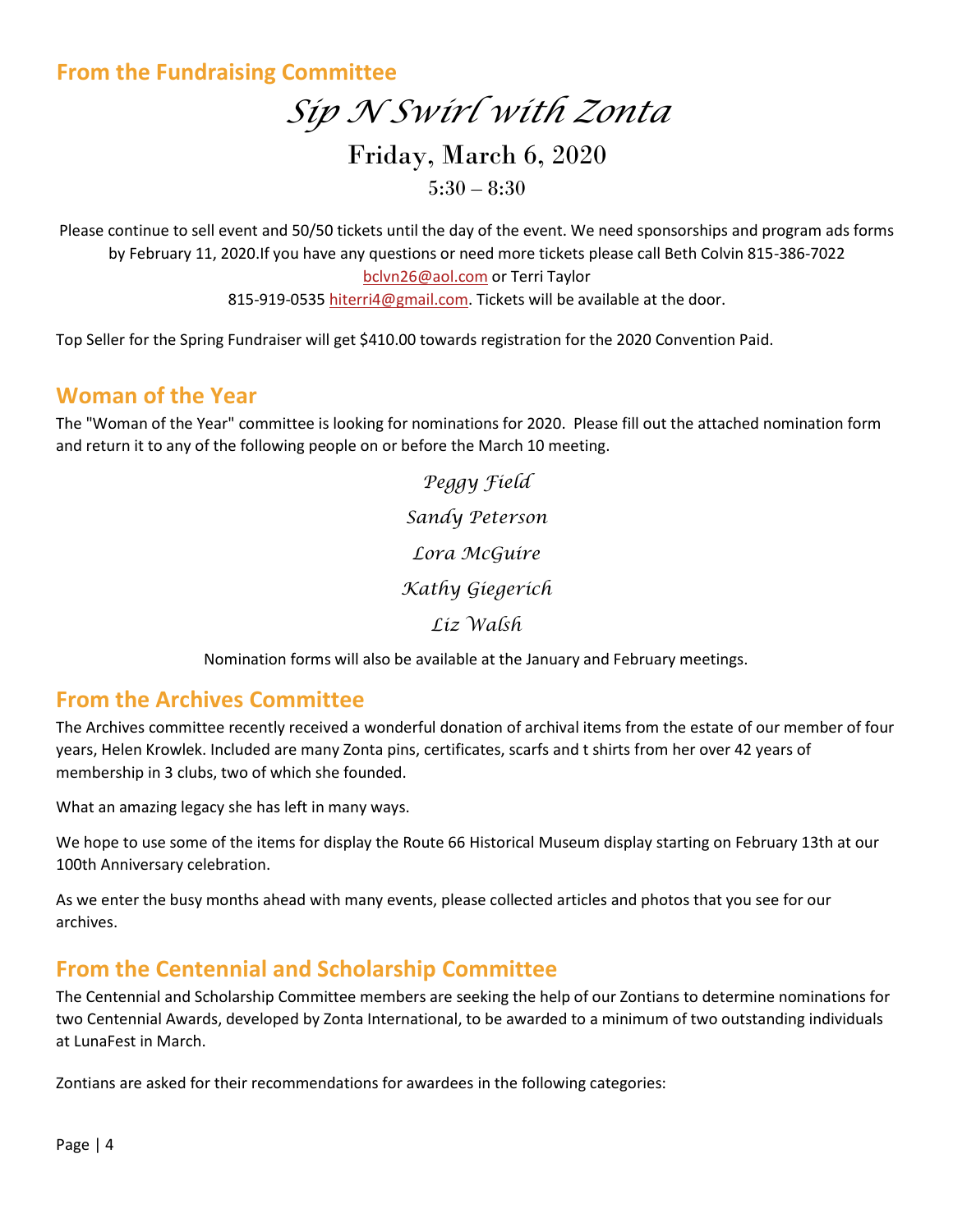## **From the Fundraising Committee**

# *Sip N Swirl with Zonta* Friday, March 6, 2020  $5:30 - 8:30$

Please continue to sell event and 50/50 tickets until the day of the event. We need sponsorships and program ads forms by February 11, 2020.If you have any questions or need more tickets please call Beth Colvin 815-386-7022 [bclvn26@aol.com](mailto:bclvn26@aol.com) or Terri Taylor 815-919-053[5 hiterri4@gmail.com.](mailto:hiterri4@gmail.com) Tickets will be available at the door.

Top Seller for the Spring Fundraiser will get \$410.00 towards registration for the 2020 Convention Paid.

## **Woman of the Year**

The "Woman of the Year" committee is looking for nominations for 2020. Please fill out the attached nomination form and return it to any of the following people on or before the March 10 meeting.

> *Peggy Field Sandy Peterson Lora McGuire Kathy Giegerich Liz Walsh*

Nomination forms will also be available at the January and February meetings.

## **From the Archives Committee**

The Archives committee recently received a wonderful donation of archival items from the estate of our member of four years, Helen Krowlek. Included are many Zonta pins, certificates, scarfs and t shirts from her over 42 years of membership in 3 clubs, two of which she founded.

What an amazing legacy she has left in many ways.

We hope to use some of the items for display the Route 66 Historical Museum display starting on February 13th at our 100th Anniversary celebration.

As we enter the busy months ahead with many events, please collected articles and photos that you see for our archives.

## **From the Centennial and Scholarship Committee**

The Centennial and Scholarship Committee members are seeking the help of our Zontians to determine nominations for two Centennial Awards, developed by Zonta International, to be awarded to a minimum of two outstanding individuals at LunaFest in March.

Zontians are asked for their recommendations for awardees in the following categories: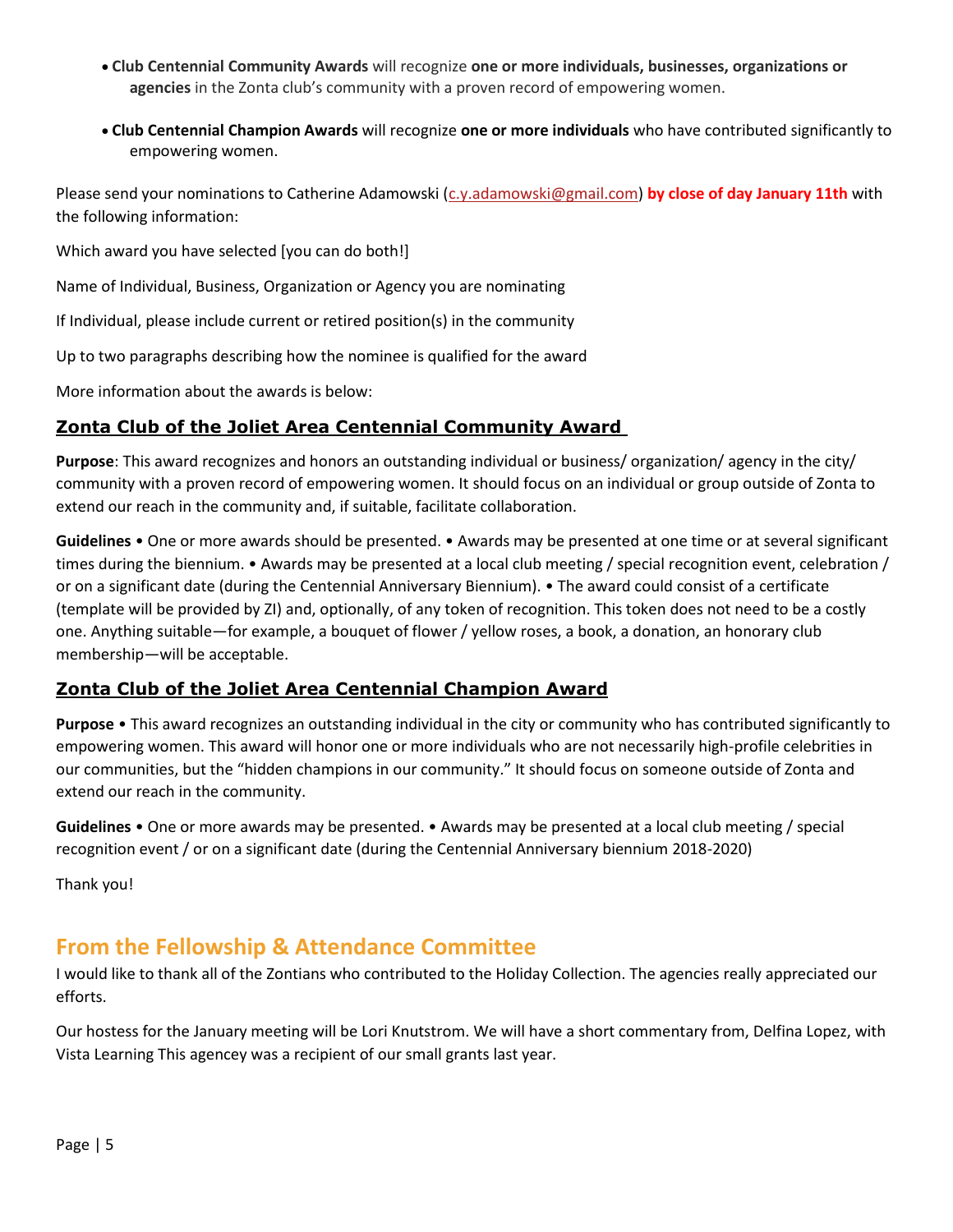- **Club Centennial Community Awards** will recognize **one or more individuals, businesses, organizations or agencies** in the Zonta club's community with a proven record of empowering women.
- **Club Centennial Champion Awards** will recognize **one or more individuals** who have contributed significantly to empowering women.

Please send your nominations to Catherine Adamowski [\(c.y.adamowski@gmail.com\)](mailto:c.y.adamowski@gmail.com) **by close of day January 11th** with the following information:

Which award you have selected [you can do both!]

Name of Individual, Business, Organization or Agency you are nominating

If Individual, please include current or retired position(s) in the community

Up to two paragraphs describing how the nominee is qualified for the award

More information about the awards is below:

### **Zonta Club of the Joliet Area Centennial Community Award**

**Purpose**: This award recognizes and honors an outstanding individual or business/ organization/ agency in the city/ community with a proven record of empowering women. It should focus on an individual or group outside of Zonta to extend our reach in the community and, if suitable, facilitate collaboration.

**Guidelines** • One or more awards should be presented. • Awards may be presented at one time or at several significant times during the biennium. • Awards may be presented at a local club meeting / special recognition event, celebration / or on a significant date (during the Centennial Anniversary Biennium). • The award could consist of a certificate (template will be provided by ZI) and, optionally, of any token of recognition. This token does not need to be a costly one. Anything suitable—for example, a bouquet of flower / yellow roses, a book, a donation, an honorary club membership—will be acceptable.

### **Zonta Club of the Joliet Area Centennial Champion Award**

**Purpose** • This award recognizes an outstanding individual in the city or community who has contributed significantly to empowering women. This award will honor one or more individuals who are not necessarily high-profile celebrities in our communities, but the "hidden champions in our community." It should focus on someone outside of Zonta and extend our reach in the community.

**Guidelines** • One or more awards may be presented. • Awards may be presented at a local club meeting / special recognition event / or on a significant date (during the Centennial Anniversary biennium 2018-2020)

Thank you!

# **From the Fellowship & Attendance Committee**

I would like to thank all of the Zontians who contributed to the Holiday Collection. The agencies really appreciated our efforts.

Our hostess for the January meeting will be Lori Knutstrom. We will have a short commentary from, Delfina Lopez, with Vista Learning This agencey was a recipient of our small grants last year.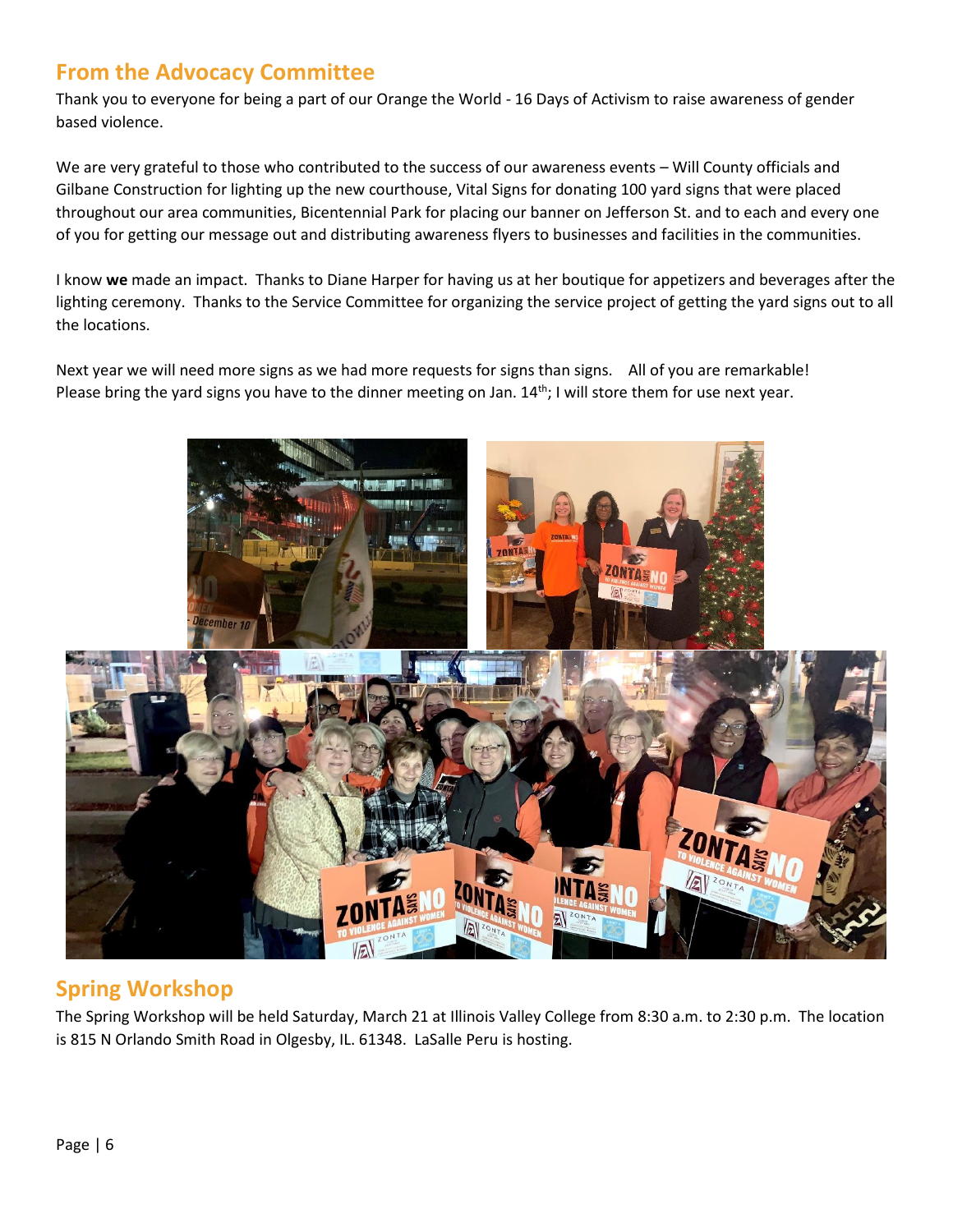# **From the Advocacy Committee**

Thank you to everyone for being a part of our Orange the World - 16 Days of Activism to raise awareness of gender based violence.

We are very grateful to those who contributed to the success of our awareness events – Will County officials and Gilbane Construction for lighting up the new courthouse, Vital Signs for donating 100 yard signs that were placed throughout our area communities, Bicentennial Park for placing our banner on Jefferson St. and to each and every one of you for getting our message out and distributing awareness flyers to businesses and facilities in the communities.

I know **we** made an impact. Thanks to Diane Harper for having us at her boutique for appetizers and beverages after the lighting ceremony. Thanks to the Service Committee for organizing the service project of getting the yard signs out to all the locations.

Next year we will need more signs as we had more requests for signs than signs. All of you are remarkable! Please bring the yard signs you have to the dinner meeting on Jan. 14<sup>th</sup>; I will store them for use next year.



# **Spring Workshop**

The Spring Workshop will be held Saturday, March 21 at Illinois Valley College from 8:30 a.m. to 2:30 p.m. The location is 815 N Orlando Smith Road in Olgesby, IL. 61348. LaSalle Peru is hosting.